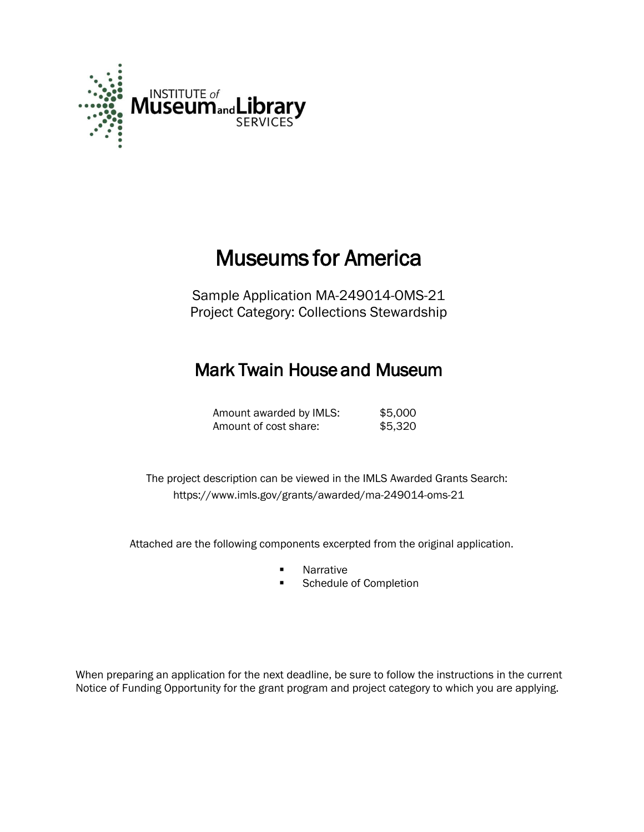

# Museums for America

Sample Application MA-249014-OMS-21 Project Category: Collections Stewardship

# Mark Twain House and Museum

| Amount awarded by IMLS: | \$5,000 |
|-------------------------|---------|
| Amount of cost share:   | \$5,320 |

 The project description can be viewed in the IMLS Awarded Grants Search: <https://www.imls.gov/grants/awarded/ma-249014-oms-21>

Attached are the following components excerpted from the original application.

- **Narrative**<br>**B** Schedule
- Schedule of Completion

When preparing an application for the next deadline, be sure to follow the instructions in the current Notice of Funding Opportunity for the grant program and project category to which you are applying.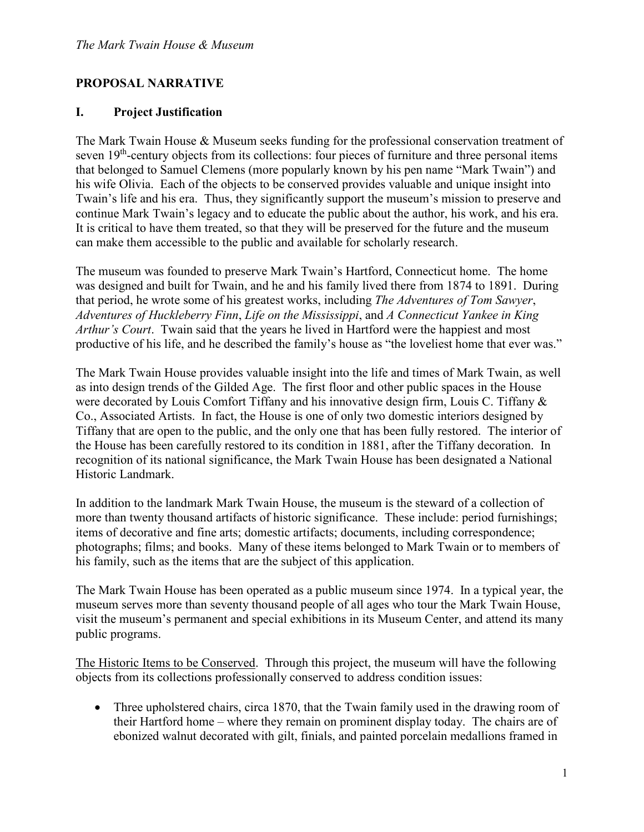# **PROPOSAL NARRATIVE**

# **I. Project Justification**

The Mark Twain House & Museum seeks funding for the professional conservation treatment of seven 19<sup>th</sup>-century objects from its collections: four pieces of furniture and three personal items that belonged to Samuel Clemens (more popularly known by his pen name "Mark Twain") and his wife Olivia. Each of the objects to be conserved provides valuable and unique insight into Twain's life and his era. Thus, they significantly support the museum's mission to preserve and continue Mark Twain's legacy and to educate the public about the author, his work, and his era. It is critical to have them treated, so that they will be preserved for the future and the museum can make them accessible to the public and available for scholarly research.

The museum was founded to preserve Mark Twain's Hartford, Connecticut home. The home was designed and built for Twain, and he and his family lived there from 1874 to 1891. During that period, he wrote some of his greatest works, including *The Adventures of Tom Sawyer*, *Adventures of Huckleberry Finn*, *Life on the Mississippi*, and *A Connecticut Yankee in King Arthur's Court*. Twain said that the years he lived in Hartford were the happiest and most productive of his life, and he described the family's house as "the loveliest home that ever was."

The Mark Twain House provides valuable insight into the life and times of Mark Twain, as well as into design trends of the Gilded Age. The first floor and other public spaces in the House were decorated by Louis Comfort Tiffany and his innovative design firm, Louis C. Tiffany & Co., Associated Artists. In fact, the House is one of only two domestic interiors designed by Tiffany that are open to the public, and the only one that has been fully restored. The interior of the House has been carefully restored to its condition in 1881, after the Tiffany decoration. In recognition of its national significance, the Mark Twain House has been designated a National Historic Landmark.

In addition to the landmark Mark Twain House, the museum is the steward of a collection of more than twenty thousand artifacts of historic significance. These include: period furnishings; items of decorative and fine arts; domestic artifacts; documents, including correspondence; photographs; films; and books. Many of these items belonged to Mark Twain or to members of his family, such as the items that are the subject of this application.

The Mark Twain House has been operated as a public museum since 1974. In a typical year, the museum serves more than seventy thousand people of all ages who tour the Mark Twain House, visit the museum's permanent and special exhibitions in its Museum Center, and attend its many public programs.

The Historic Items to be Conserved. Through this project, the museum will have the following objects from its collections professionally conserved to address condition issues:

• Three upholstered chairs, circa 1870, that the Twain family used in the drawing room of their Hartford home – where they remain on prominent display today. The chairs are of ebonized walnut decorated with gilt, finials, and painted porcelain medallions framed in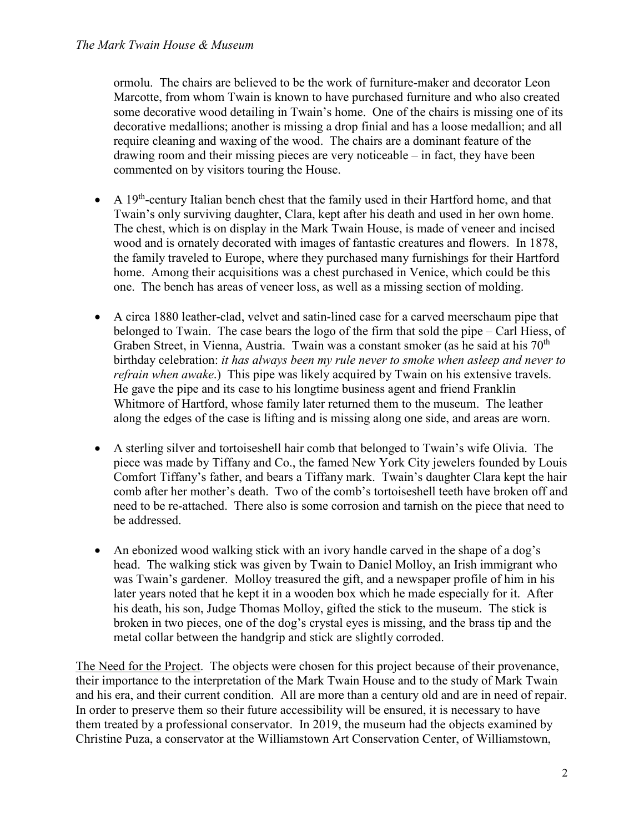ormolu. The chairs are believed to be the work of furniture-maker and decorator Leon Marcotte, from whom Twain is known to have purchased furniture and who also created some decorative wood detailing in Twain's home. One of the chairs is missing one of its decorative medallions; another is missing a drop finial and has a loose medallion; and all require cleaning and waxing of the wood. The chairs are a dominant feature of the drawing room and their missing pieces are very noticeable – in fact, they have been commented on by visitors touring the House.

- A  $19<sup>th</sup>$ -century Italian bench chest that the family used in their Hartford home, and that Twain's only surviving daughter, Clara, kept after his death and used in her own home. The chest, which is on display in the Mark Twain House, is made of veneer and incised wood and is ornately decorated with images of fantastic creatures and flowers. In 1878, the family traveled to Europe, where they purchased many furnishings for their Hartford home. Among their acquisitions was a chest purchased in Venice, which could be this one. The bench has areas of veneer loss, as well as a missing section of molding.
- A circa 1880 leather-clad, velvet and satin-lined case for a carved meerschaum pipe that belonged to Twain. The case bears the logo of the firm that sold the pipe – Carl Hiess, of Graben Street, in Vienna, Austria. Twain was a constant smoker (as he said at his 70<sup>th</sup>) birthday celebration: *it has always been my rule never to smoke when asleep and never to refrain when awake*.) This pipe was likely acquired by Twain on his extensive travels. He gave the pipe and its case to his longtime business agent and friend Franklin Whitmore of Hartford, whose family later returned them to the museum. The leather along the edges of the case is lifting and is missing along one side, and areas are worn.
- A sterling silver and tortoiseshell hair comb that belonged to Twain's wife Olivia. The piece was made by Tiffany and Co., the famed New York City jewelers founded by Louis Comfort Tiffany's father, and bears a Tiffany mark. Twain's daughter Clara kept the hair comb after her mother's death. Two of the comb's tortoiseshell teeth have broken off and need to be re-attached. There also is some corrosion and tarnish on the piece that need to be addressed.
- An ebonized wood walking stick with an ivory handle carved in the shape of a dog's head. The walking stick was given by Twain to Daniel Molloy, an Irish immigrant who was Twain's gardener. Molloy treasured the gift, and a newspaper profile of him in his later years noted that he kept it in a wooden box which he made especially for it. After his death, his son, Judge Thomas Molloy, gifted the stick to the museum. The stick is broken in two pieces, one of the dog's crystal eyes is missing, and the brass tip and the metal collar between the handgrip and stick are slightly corroded.

The Need for the Project. The objects were chosen for this project because of their provenance, their importance to the interpretation of the Mark Twain House and to the study of Mark Twain and his era, and their current condition. All are more than a century old and are in need of repair. In order to preserve them so their future accessibility will be ensured, it is necessary to have them treated by a professional conservator. In 2019, the museum had the objects examined by Christine Puza, a conservator at the Williamstown Art Conservation Center, of Williamstown,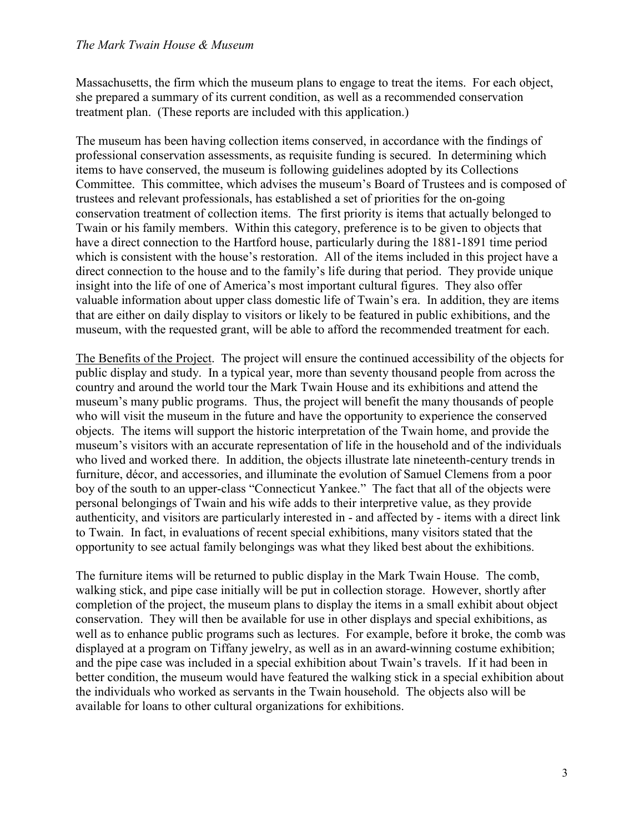Massachusetts, the firm which the museum plans to engage to treat the items. For each object, she prepared a summary of its current condition, as well as a recommended conservation treatment plan. (These reports are included with this application.)

The museum has been having collection items conserved, in accordance with the findings of professional conservation assessments, as requisite funding is secured. In determining which items to have conserved, the museum is following guidelines adopted by its Collections Committee. This committee, which advises the museum's Board of Trustees and is composed of trustees and relevant professionals, has established a set of priorities for the on-going conservation treatment of collection items. The first priority is items that actually belonged to Twain or his family members. Within this category, preference is to be given to objects that have a direct connection to the Hartford house, particularly during the 1881-1891 time period which is consistent with the house's restoration. All of the items included in this project have a direct connection to the house and to the family's life during that period. They provide unique insight into the life of one of America's most important cultural figures. They also offer valuable information about upper class domestic life of Twain's era. In addition, they are items that are either on daily display to visitors or likely to be featured in public exhibitions, and the museum, with the requested grant, will be able to afford the recommended treatment for each.

The Benefits of the Project. The project will ensure the continued accessibility of the objects for public display and study. In a typical year, more than seventy thousand people from across the country and around the world tour the Mark Twain House and its exhibitions and attend the museum's many public programs. Thus, the project will benefit the many thousands of people who will visit the museum in the future and have the opportunity to experience the conserved objects. The items will support the historic interpretation of the Twain home, and provide the museum's visitors with an accurate representation of life in the household and of the individuals who lived and worked there. In addition, the objects illustrate late nineteenth-century trends in furniture, décor, and accessories, and illuminate the evolution of Samuel Clemens from a poor boy of the south to an upper-class "Connecticut Yankee." The fact that all of the objects were personal belongings of Twain and his wife adds to their interpretive value, as they provide authenticity, and visitors are particularly interested in - and affected by - items with a direct link to Twain. In fact, in evaluations of recent special exhibitions, many visitors stated that the opportunity to see actual family belongings was what they liked best about the exhibitions.

The furniture items will be returned to public display in the Mark Twain House. The comb, walking stick, and pipe case initially will be put in collection storage. However, shortly after completion of the project, the museum plans to display the items in a small exhibit about object conservation. They will then be available for use in other displays and special exhibitions, as well as to enhance public programs such as lectures. For example, before it broke, the comb was displayed at a program on Tiffany jewelry, as well as in an award-winning costume exhibition; and the pipe case was included in a special exhibition about Twain's travels. If it had been in better condition, the museum would have featured the walking stick in a special exhibition about the individuals who worked as servants in the Twain household. The objects also will be available for loans to other cultural organizations for exhibitions.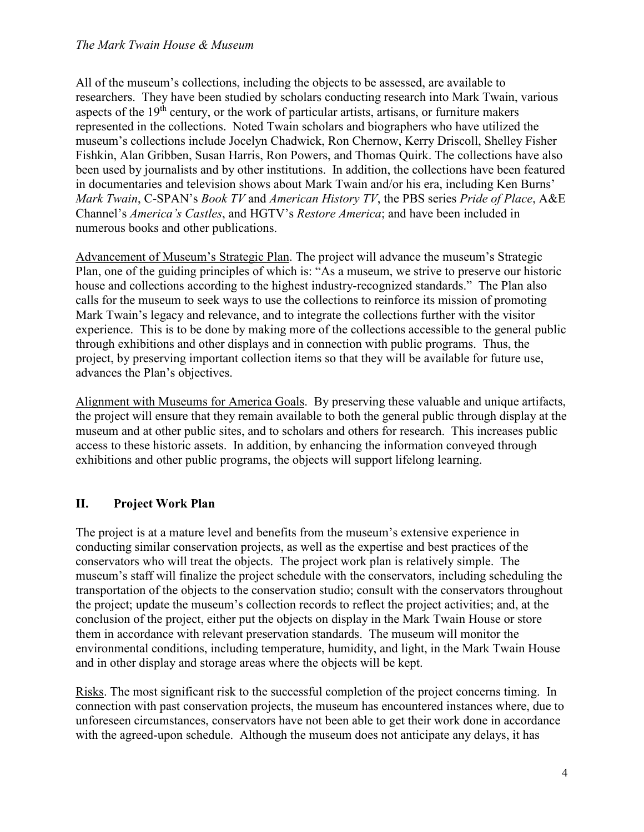All of the museum's collections, including the objects to be assessed, are available to researchers. They have been studied by scholars conducting research into Mark Twain, various aspects of the  $19<sup>th</sup>$  century, or the work of particular artists, artisans, or furniture makers represented in the collections. Noted Twain scholars and biographers who have utilized the museum's collections include Jocelyn Chadwick, Ron Chernow, Kerry Driscoll, Shelley Fisher Fishkin, Alan Gribben, Susan Harris, Ron Powers, and Thomas Quirk. The collections have also been used by journalists and by other institutions. In addition, the collections have been featured in documentaries and television shows about Mark Twain and/or his era, including Ken Burns' *Mark Twain*, C-SPAN's *Book TV* and *American History TV*, the PBS series *Pride of Place*, A&E Channel's *America's Castles*, and HGTV's *Restore America*; and have been included in numerous books and other publications.

Advancement of Museum's Strategic Plan. The project will advance the museum's Strategic Plan, one of the guiding principles of which is: "As a museum, we strive to preserve our historic house and collections according to the highest industry-recognized standards." The Plan also calls for the museum to seek ways to use the collections to reinforce its mission of promoting Mark Twain's legacy and relevance, and to integrate the collections further with the visitor experience. This is to be done by making more of the collections accessible to the general public through exhibitions and other displays and in connection with public programs. Thus, the project, by preserving important collection items so that they will be available for future use, advances the Plan's objectives.

Alignment with Museums for America Goals. By preserving these valuable and unique artifacts, the project will ensure that they remain available to both the general public through display at the museum and at other public sites, and to scholars and others for research. This increases public access to these historic assets. In addition, by enhancing the information conveyed through exhibitions and other public programs, the objects will support lifelong learning.

# **II. Project Work Plan**

The project is at a mature level and benefits from the museum's extensive experience in conducting similar conservation projects, as well as the expertise and best practices of the conservators who will treat the objects. The project work plan is relatively simple. The museum's staff will finalize the project schedule with the conservators, including scheduling the transportation of the objects to the conservation studio; consult with the conservators throughout the project; update the museum's collection records to reflect the project activities; and, at the conclusion of the project, either put the objects on display in the Mark Twain House or store them in accordance with relevant preservation standards. The museum will monitor the environmental conditions, including temperature, humidity, and light, in the Mark Twain House and in other display and storage areas where the objects will be kept.

Risks. The most significant risk to the successful completion of the project concerns timing. In connection with past conservation projects, the museum has encountered instances where, due to unforeseen circumstances, conservators have not been able to get their work done in accordance with the agreed-upon schedule. Although the museum does not anticipate any delays, it has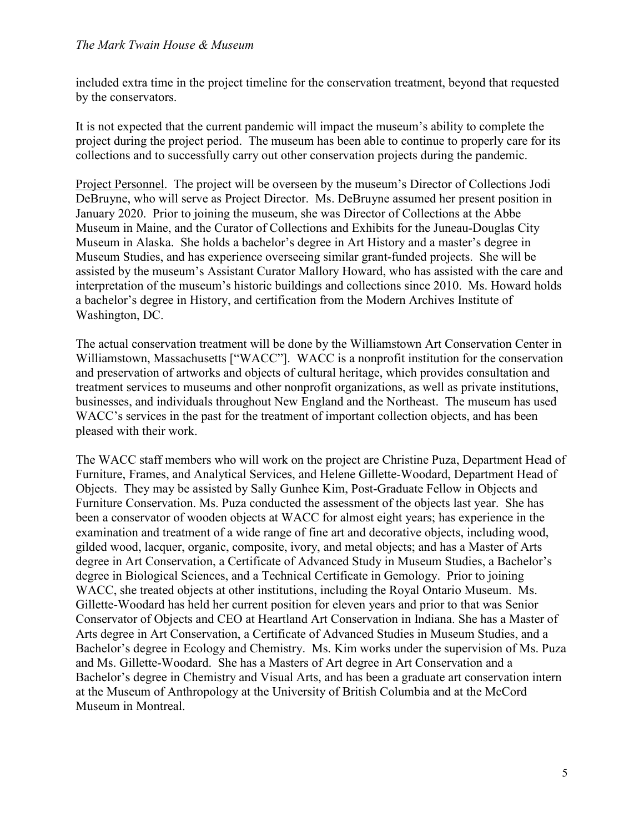included extra time in the project timeline for the conservation treatment, beyond that requested by the conservators.

It is not expected that the current pandemic will impact the museum's ability to complete the project during the project period. The museum has been able to continue to properly care for its collections and to successfully carry out other conservation projects during the pandemic.

Project Personnel. The project will be overseen by the museum's Director of Collections Jodi DeBruyne, who will serve as Project Director. Ms. DeBruyne assumed her present position in January 2020. Prior to joining the museum, she was Director of Collections at the Abbe Museum in Maine, and the Curator of Collections and Exhibits for the Juneau-Douglas City Museum in Alaska. She holds a bachelor's degree in Art History and a master's degree in Museum Studies, and has experience overseeing similar grant-funded projects. She will be assisted by the museum's Assistant Curator Mallory Howard, who has assisted with the care and interpretation of the museum's historic buildings and collections since 2010. Ms. Howard holds a bachelor's degree in History, and certification from the Modern Archives Institute of Washington, DC.

The actual conservation treatment will be done by the Williamstown Art Conservation Center in Williamstown, Massachusetts ["WACC"]. WACC is a nonprofit institution for the conservation and preservation of artworks and objects of cultural heritage, which provides consultation and treatment services to museums and other nonprofit organizations, as well as private institutions, businesses, and individuals throughout New England and the Northeast. The museum has used WACC's services in the past for the treatment of important collection objects, and has been pleased with their work.

The WACC staff members who will work on the project are Christine Puza, Department Head of Furniture, Frames, and Analytical Services, and Helene Gillette-Woodard, Department Head of Objects. They may be assisted by Sally Gunhee Kim, Post-Graduate Fellow in Objects and Furniture Conservation. Ms. Puza conducted the assessment of the objects last year. She has been a conservator of wooden objects at WACC for almost eight years; has experience in the examination and treatment of a wide range of fine art and decorative objects, including wood, gilded wood, lacquer, organic, composite, ivory, and metal objects; and has a Master of Arts degree in Art Conservation, a Certificate of Advanced Study in Museum Studies, a Bachelor's degree in Biological Sciences, and a Technical Certificate in Gemology. Prior to joining WACC, she treated objects at other institutions, including the Royal Ontario Museum. Ms. Gillette-Woodard has held her current position for eleven years and prior to that was Senior Conservator of Objects and CEO at Heartland Art Conservation in Indiana. She has a Master of Arts degree in Art Conservation, a Certificate of Advanced Studies in Museum Studies, and a Bachelor's degree in Ecology and Chemistry. Ms. Kim works under the supervision of Ms. Puza and Ms. Gillette-Woodard. She has a Masters of Art degree in Art Conservation and a Bachelor's degree in Chemistry and Visual Arts, and has been a graduate art conservation intern at the Museum of Anthropology at the University of British Columbia and at the McCord Museum in Montreal.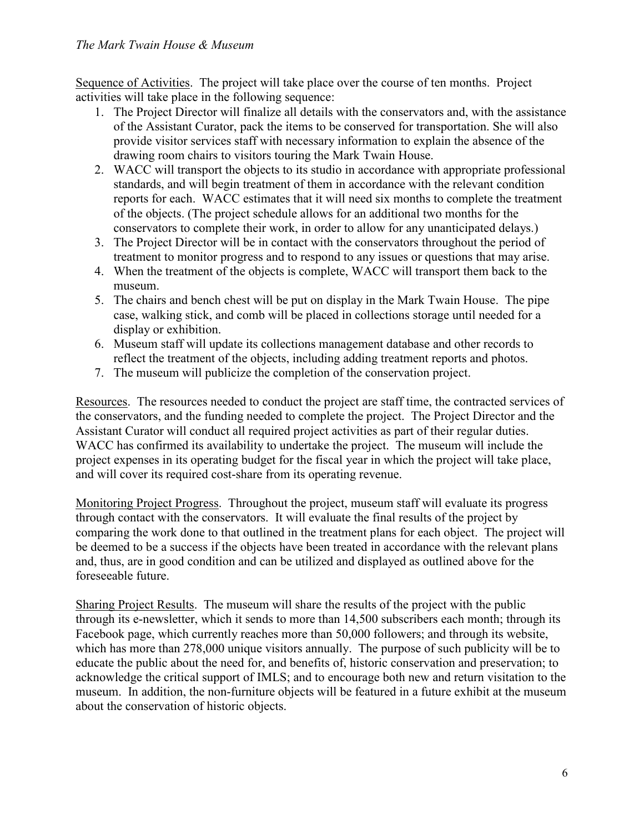Sequence of Activities. The project will take place over the course of ten months. Project activities will take place in the following sequence:

- 1. The Project Director will finalize all details with the conservators and, with the assistance of the Assistant Curator, pack the items to be conserved for transportation. She will also provide visitor services staff with necessary information to explain the absence of the drawing room chairs to visitors touring the Mark Twain House.
- 2. WACC will transport the objects to its studio in accordance with appropriate professional standards, and will begin treatment of them in accordance with the relevant condition reports for each. WACC estimates that it will need six months to complete the treatment of the objects. (The project schedule allows for an additional two months for the conservators to complete their work, in order to allow for any unanticipated delays.)
- 3. The Project Director will be in contact with the conservators throughout the period of treatment to monitor progress and to respond to any issues or questions that may arise.
- 4. When the treatment of the objects is complete, WACC will transport them back to the museum.
- 5. The chairs and bench chest will be put on display in the Mark Twain House. The pipe case, walking stick, and comb will be placed in collections storage until needed for a display or exhibition.
- 6. Museum staff will update its collections management database and other records to reflect the treatment of the objects, including adding treatment reports and photos.
- 7. The museum will publicize the completion of the conservation project.

Resources. The resources needed to conduct the project are staff time, the contracted services of the conservators, and the funding needed to complete the project. The Project Director and the Assistant Curator will conduct all required project activities as part of their regular duties. WACC has confirmed its availability to undertake the project. The museum will include the project expenses in its operating budget for the fiscal year in which the project will take place, and will cover its required cost-share from its operating revenue.

Monitoring Project Progress. Throughout the project, museum staff will evaluate its progress through contact with the conservators. It will evaluate the final results of the project by comparing the work done to that outlined in the treatment plans for each object. The project will be deemed to be a success if the objects have been treated in accordance with the relevant plans and, thus, are in good condition and can be utilized and displayed as outlined above for the foreseeable future.

Sharing Project Results. The museum will share the results of the project with the public through its e-newsletter, which it sends to more than 14,500 subscribers each month; through its Facebook page, which currently reaches more than 50,000 followers; and through its website, which has more than 278,000 unique visitors annually. The purpose of such publicity will be to educate the public about the need for, and benefits of, historic conservation and preservation; to acknowledge the critical support of IMLS; and to encourage both new and return visitation to the museum. In addition, the non-furniture objects will be featured in a future exhibit at the museum about the conservation of historic objects.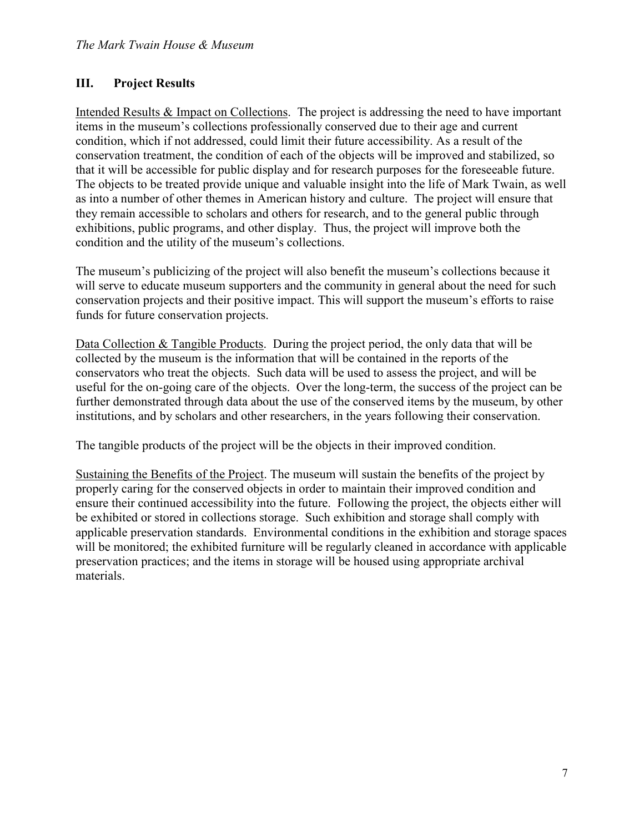# **III. Project Results**

Intended Results & Impact on Collections. The project is addressing the need to have important items in the museum's collections professionally conserved due to their age and current condition, which if not addressed, could limit their future accessibility. As a result of the conservation treatment, the condition of each of the objects will be improved and stabilized, so that it will be accessible for public display and for research purposes for the foreseeable future. The objects to be treated provide unique and valuable insight into the life of Mark Twain, as well as into a number of other themes in American history and culture. The project will ensure that they remain accessible to scholars and others for research, and to the general public through exhibitions, public programs, and other display. Thus, the project will improve both the condition and the utility of the museum's collections.

The museum's publicizing of the project will also benefit the museum's collections because it will serve to educate museum supporters and the community in general about the need for such conservation projects and their positive impact. This will support the museum's efforts to raise funds for future conservation projects.

Data Collection & Tangible Products. During the project period, the only data that will be collected by the museum is the information that will be contained in the reports of the conservators who treat the objects. Such data will be used to assess the project, and will be useful for the on-going care of the objects. Over the long-term, the success of the project can be further demonstrated through data about the use of the conserved items by the museum, by other institutions, and by scholars and other researchers, in the years following their conservation.

The tangible products of the project will be the objects in their improved condition.

Sustaining the Benefits of the Project. The museum will sustain the benefits of the project by properly caring for the conserved objects in order to maintain their improved condition and ensure their continued accessibility into the future. Following the project, the objects either will be exhibited or stored in collections storage. Such exhibition and storage shall comply with applicable preservation standards. Environmental conditions in the exhibition and storage spaces will be monitored; the exhibited furniture will be regularly cleaned in accordance with applicable preservation practices; and the items in storage will be housed using appropriate archival materials.